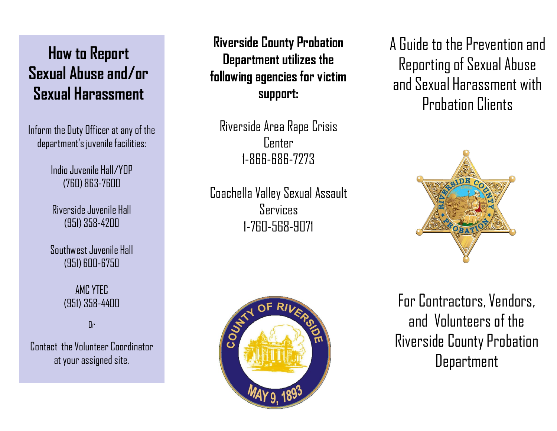# **How to Report Sexual Abuse and/or Sexual Harassment**

Inform the Duty Officer at any of the department's juvenile facilities:

> Indio Juvenile Hall/YOP (760) 863-7600

Riverside Juvenile Hall (951) 358-4200

Southwest Juvenile Hall (951) 600-6750

> AMC YTEC (951) 358-4400

> > $\mathbb{R}$

Contact the Volunteer Coordinator at your assigned site.

**Riverside County Probation Department** utilizes the **following agenciesfor victim support:**

Riverside Area Rape Crisis Center 1-866-686-7273

CoachellaValley Sexual Assault Services 1-760-568-9071



A Guide to the Preventionand Reporting of Sexual Abuse and Sexual Harassment with Probation Clients



For Contractors, Vendors, and Volunteersof the Riverside County Probation Department